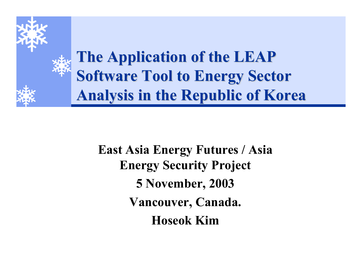

**East Asia Energy Futures / Asia Energy Security Project 5 November, 2003 Vancouver, Canada. Hoseok Kim**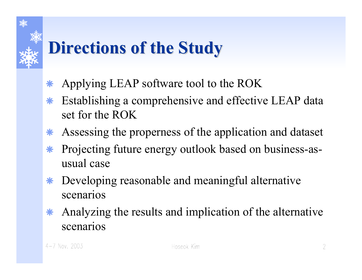## **Directions of the Study Directions of the Study**

- $\ast$ Applying LEAP software tool to the ROK
- $*$  Establishing a comprehensive and effective LEAP data set for the ROK
- $\bf{*}$ Assessing the properness of the application and dataset
- $\ast$  Projecting future energy outlook based on business-asusual case
- Å Developing reasonable and meaningful alternative scenarios
- $\ast$  Analyzing the results and implication of the alternative scenarios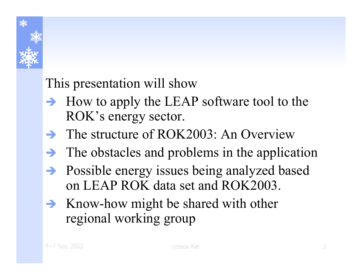

#### This presentation will show

- $\rightarrow$  How to apply the LEAP software tool to the ROK's energy sector.
- $\rightarrow$  The structure of ROK2003: An Overview
- $\rightarrow$  The obstacles and problems in the application
- Î Possible energy issues being analyzed based on LEAP ROK data set and ROK2003.
- $\rightarrow$  Know-how might be shared with other regional working group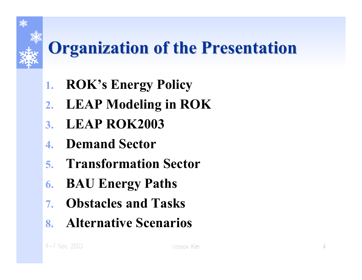# **Organization of the Presentation Organization of the Presentation**

- **1. ROK's Energy Policy**
- **2. LEAP Modeling in ROK**
- **3. LEAP ROK2003**
- **4. Demand Sector**
- **5. Transformation Sector**
- **6. BAU Energy Paths**
- **7. Obstacles and Tasks**
- **8. Alternative Scenarios**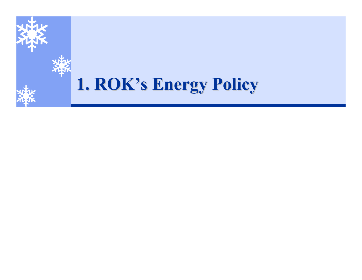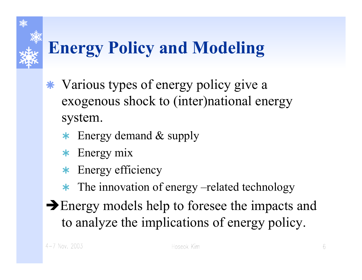## **Energy Policy and Modeling**

- Å Various types of energy policy give a exogenous shock to (inter)national energy system.
	- $\star$  Energy demand  $\&$  supply
	- $\star$  Energy mix
	- \* Energy efficiency
	- \* The innovation of energy –related technology
- $\rightarrow$  Energy models help to foresee the impacts and to analyze the implications of energy policy.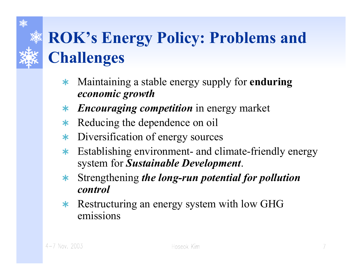## **ROK's Energy Policy: Problems and Challenges**

- $\ast$  Maintaining a stable energy supply for **enduring**  *economic growth*
- ¿ *Encouraging competition* in energy market
- $\ast$ Reducing the dependence on oil
- $\ast$ Diversification of energy sources
- $\ast$  Establishing environment- and climate-friendly energy system for *Sustainable Development*.
- $\ast$  Strengthening *the long-run potential for pollution control*
- \* Restructuring an energy system with low GHG emissions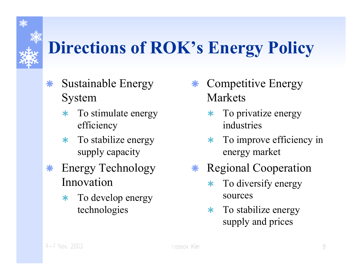## **Directions of ROK's Energy Policy**

- $\ast$  Sustainable Energy System
	- $\star$  To stimulate energy efficiency
	- $\star$  To stabilize energy supply capacity
- $\bf{*}$  Energy Technology Innovation
	- $\ast$  To develop energy technologies
- Å Competitive Energy Markets
	- $\star$  To privatize energy industries
	- $\ast$  To improve efficiency in energy market
- Å Regional Cooperation
	- $\ast$  To diversify energy sources
	- $\star$  To stabilize energy supply and prices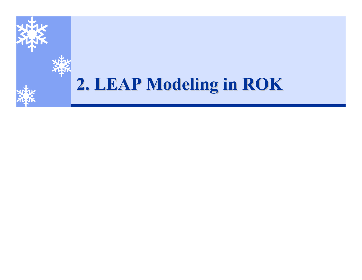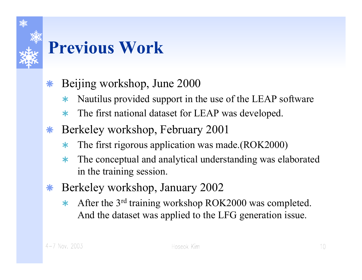# **Previous Work**

- $\ast$  Beijing workshop, June 2000
	- ¿Nautilus provided support in the use of the LEAP software
	- $\star$ The first national dataset for LEAP was developed.
- $\bf *$  Berkeley workshop, February 2001
	- $\ast$ The first rigorous application was made.(ROK2000)
	- $\star$  The conceptual and analytical understanding was elaborated in the training session.
- Å Berkeley workshop, January 2002
	- $\ast$  After the 3r<sup>d</sup> training workshop ROK2000 was completed. And the datas et was applied to the LFG generation issue.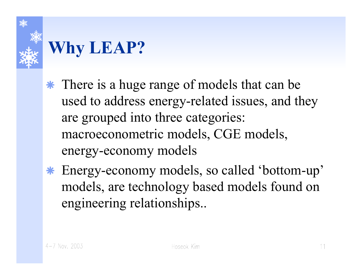

## **Why LEAP?**

- \* There is a huge range of models that can be used to address energy-related issues, and they are grouped into three categories: macroeconometric models, CGE models, energy-economy models
- Å Energy-economy models, so called 'bottom-up' models, are technology based models found on engineering relationships..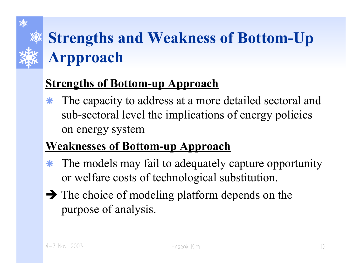

## **Strengths and Weakness of Bottom-Up Arpproach**

#### **Strengths of Bottom-up Approach**

Å The capacity to address at a more detailed sectoral and sub-sectoral level the implications of energy policies on energy system

#### **Weaknesses of Bottom-up Approach**

- $\ast$  The models may fail to adequately capture opportunity or welfare costs of technological substitution.
- $\rightarrow$  The choice of modeling platform depends on the purpose of analysis.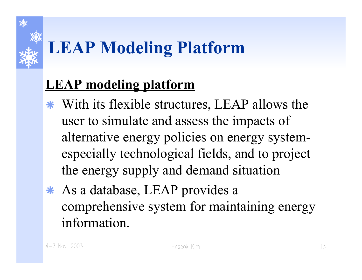# **LEAP Modeling Platform**

#### **LEAP modeling platform**

- Å With its flexible structures, LEAP allows the user to simulate and assess the impacts of alternative energy policies on energy systemespecially technological fields, and to project the energy supply and demand situation
- \* As a database, LEAP provides a comprehensive system for maintaining energy information.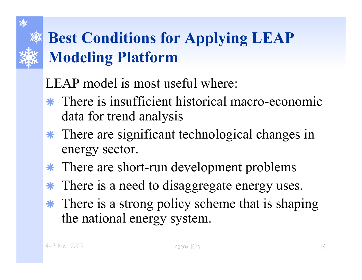#### **Best Conditions for Applying LEAP Modeling Platform**

LEAP model is most useful where:

- Å There is insufficient historical macro-economic data for trend analysis
- Å There are significant technological changes in energy sector.
- Å There are short-run development problems
- $\ast$ There is a need to disaggregate energy uses.
- \* There is a strong policy scheme that is shaping the national energy system.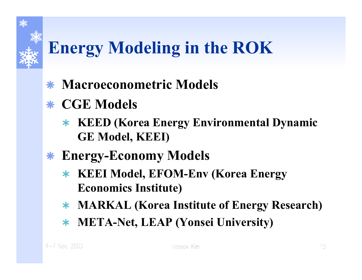## **Energy Modeling in the ROK**

- Å **Macroeconometric Models**
- Å **CGE Models**
	- ¿ **KEED (Korea Energy Environmental Dynamic GE Model, KEEI)**
- Å **Energy-Economy Models**
	- ¿ **KEEI Model, EFOM-Env (Korea Energy Economics Institute)**
	- ¿ **MARKAL (Korea Institute of Energy Research)**
	- ¿ **META-Net, LEAP (Yonsei University)**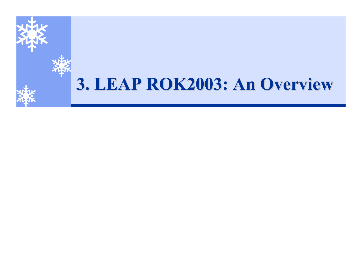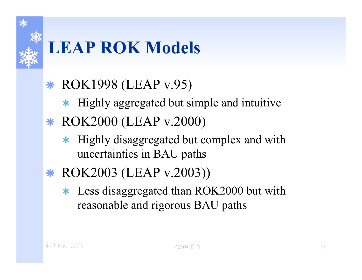

## **LEAP ROK Models**

#### Å ROK1998 (LEAP v.95)

- \* Highly aggregated but simple and intuitive
- \* ROK2000 (LEAP v.2000)
	- $\star$  Highly disaggregated but complex and with uncertainties in BAU paths
- Å ROK2003 (LEAP v.2003))
	- \* Less disaggregated than ROK2000 but with reasonable and rigorous BAU paths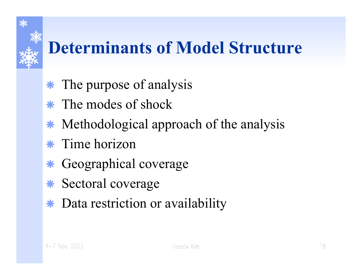## **Determinants of Model Structure**

- \* The purpose of analysis
- \* The modes of shock
- $\ast$ Methodological approach of the analysis
- $\ast$  Time horizon
- $\ast$ Geographical coverage
- $\bf *}$ Sectoral coverage
- Å Data restriction or availability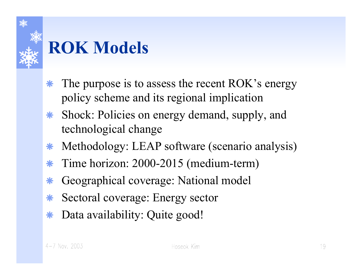

#### **ROK Models**

- $\ast$  The purpose is to assess the recent ROK's energy policy scheme and its regional implication
- $\bf{*}$  Shock: Policies on energy demand, supply, and technological change
- $\ast$ Methodology: LEAP software (scenario analysis)
- $\ast$ Time horizon: 2000-2015 (medium-term)
- $\ast$ Geographical coverage: National model
- $\ast$ Sectoral coverage: Energy sector
- $\ast$ Data availability: Quite good!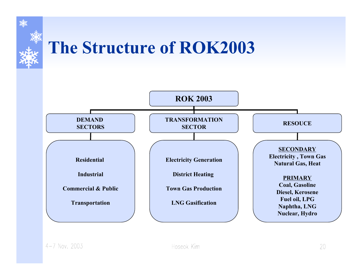

## **The Structure of ROK2003**

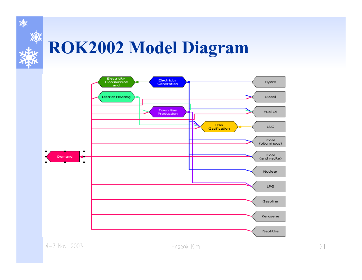

## **ROK2002 Model Diagram**

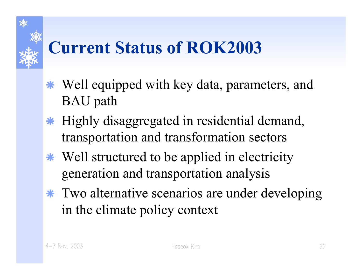## **Current Status of ROK2003**

- Å Well equipped with key data, parameters, and BAU path
- Å Highly disaggregated in residential demand, transportation and transformation sectors
- Å Well structured to be applied in electricity generation and transportation analysis
- Å Two alternative scenarios are under developing in the climate policy context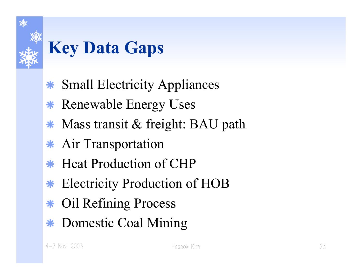

## **Key Data Gaps**

- ÅSmall Electricity Appliances
- Å Renewable Energy Uses
- Å Mass transit & freight: BAU path
- \* Air Transportation
- Å Heat Production of CHP
- Å Electricity Production of HOB
- ÅOil Refining Process
- Å Domestic Coal Mining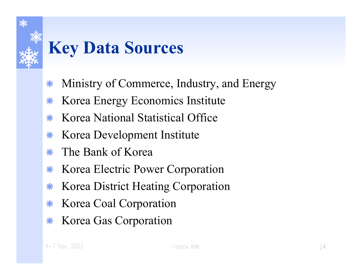

## **Key Data Sources**

- $\ast$ Ministry of Commerce, Industry, and Energy
- $\ast$ Korea Energy Economics Institute
- $\ast$ Korea National Statistical Office
- $\ast$ Korea Development Institute
- ÅThe Bank of Korea
- $\ast$ Korea Electric Power Corporation
- $\ast$ Korea District Heating Corporation
- $\ast$ Korea Coal Corporation
- $\ast$ Korea Gas Corporation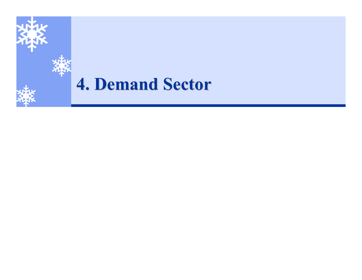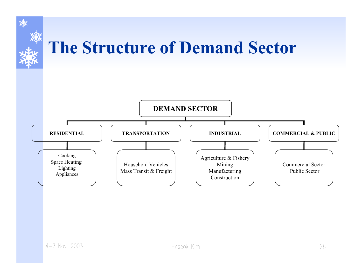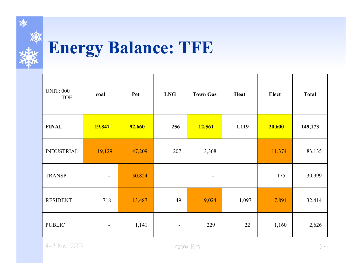

## **Energy Balance: TFE**

| <b>UNIT: 000</b><br><b>TOE</b> | coal                     | Pet    | <b>LNG</b>              | <b>Town Gas</b> | Heat      | Elect  | <b>Total</b> |
|--------------------------------|--------------------------|--------|-------------------------|-----------------|-----------|--------|--------------|
| <b>FINAL</b>                   | 19,847                   | 92,660 | 256                     | 12,561          | 1,119     | 20,600 | 149,173      |
| <b>INDUSTRIAL</b>              | 19,129                   | 47,209 | 207                     | 3,308           | $\star$   | 11,374 | 83,135       |
| <b>TRANSP</b>                  | $\blacksquare$           | 30,824 | $\langle \cdot \rangle$ | $\blacksquare$  | $\bullet$ | 175    | 30,999       |
| <b>RESIDENT</b>                | 718                      | 13,487 | 49                      | 9,024           | 1,097     | 7,891  | 32,414       |
| <b>PUBLIC</b>                  | $\overline{\phantom{a}}$ | 1,141  |                         | 229             | $22\,$    | 1,160  | 2,626        |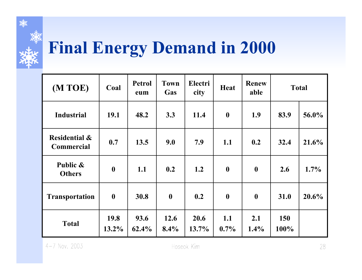

## **Final Energy Demand in 2000**

| (M TOE)                                       | Coal             | <b>Petrol</b><br>eum | <b>Town</b><br>Gas | Electri<br>city | <b>Heat</b>      | <b>Renew</b><br>able | <b>Total</b>       |         |
|-----------------------------------------------|------------------|----------------------|--------------------|-----------------|------------------|----------------------|--------------------|---------|
| <b>Industrial</b>                             | 19.1             | 48.2                 | 3.3                | 11.4            | $\boldsymbol{0}$ | 1.9                  | 83.9               | 56.0%   |
| <b>Residential &amp;</b><br><b>Commercial</b> | 0.7              | 13.5                 | 9.0                | 7.9             | 1.1              | 0.2                  | 32.4               | 21.6%   |
| Public &<br><b>Others</b>                     | $\boldsymbol{0}$ | 1.1                  | 0.2                | 1.2             | $\boldsymbol{0}$ | $\boldsymbol{0}$     | 2.6                | $1.7\%$ |
| <b>Transportation</b>                         | $\boldsymbol{0}$ | 30.8                 | $\boldsymbol{0}$   | 0.2             | $\boldsymbol{0}$ | $\boldsymbol{0}$     | 31.0               | 20.6%   |
| <b>Total</b>                                  | 19.8<br>$13.2\%$ | 93.6<br>62.4%        | 12.6<br>8.4%       | 20.6<br>13.7%   | 1.1<br>$0.7\%$   | 2.1<br>$1.4\%$       | <b>150</b><br>100% |         |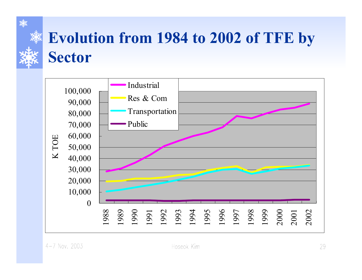

#### **Evolution from 1984 to 2002 of TFE by Sector**

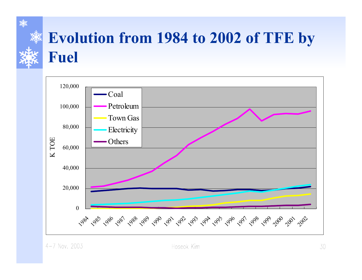

#### **Evolution from 1984 to 2002 of TFE by** Fuel

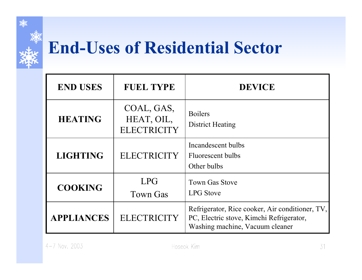

#### **End-Uses of Residential Sector**

| <b>END USES</b>   | <b>FUEL TYPE</b>                               | <b>DEVICE</b>                                                                                                                  |
|-------------------|------------------------------------------------|--------------------------------------------------------------------------------------------------------------------------------|
| <b>HEATING</b>    | COAL, GAS,<br>HEAT, OIL,<br><b>ELECTRICITY</b> | <b>Boilers</b><br><b>District Heating</b>                                                                                      |
| <b>LIGHTING</b>   | <b>ELECTRICITY</b>                             | Incandescent bulbs<br>Fluorescent bulbs<br>Other bulbs                                                                         |
| <b>COOKING</b>    | <b>LPG</b><br><b>Town Gas</b>                  | <b>Town Gas Stove</b><br><b>LPG</b> Stove                                                                                      |
| <b>APPLIANCES</b> | <b>ELECTRICITY</b>                             | Refrigerator, Rice cooker, Air conditioner, TV,<br>PC, Electric stove, Kimchi Refrigerator,<br>Washing machine, Vacuum cleaner |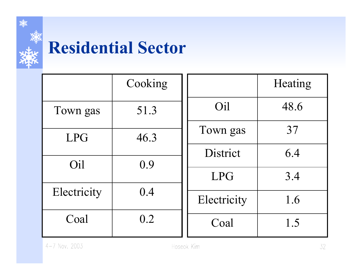

#### **Residential Sector**

|             | Cooking |             | Heating |
|-------------|---------|-------------|---------|
| Town gas    | 51.3    | Oil         | 48.6    |
| <b>LPG</b>  | 46.3    | Town gas    | 37      |
| Oil         | 0.9     | District    | 6.4     |
|             |         | <b>LPG</b>  | 3.4     |
| Electricity | 0.4     | Electricity | 1.6     |
| Coal        | 0.2     | Coal        | 1.5     |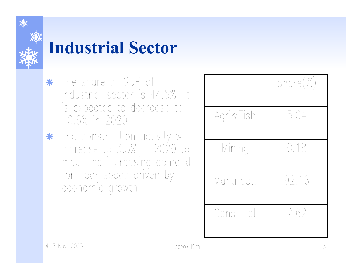

#### **Industrial Sector**

- \* The share of GDP of industrial sector is 44.5%. It is expected to decrease to 40.6% in 2020
- \* The construction activity will increase to 3.5% in 2020 to meet the increasing demand for floor space driven by economic growth.

|           | $Share(\%)$ |
|-----------|-------------|
| Agri&Fish | 5.04        |
| Mining    | 0.18        |
| Manufact. | 92.16       |
| Construct | 2.62        |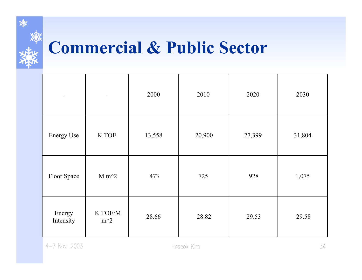

#### **Commercial & Public Sector**

| $\bullet$           | $\bullet$        | 2000   | 2010   | 2020   | 2030   |
|---------------------|------------------|--------|--------|--------|--------|
| <b>Energy Use</b>   | K TOE            | 13,558 | 20,900 | 27,399 | 31,804 |
| Floor Space         | $M m^2$          | 473    | 725    | 928    | 1,075  |
| Energy<br>Intensity | K TOE/M<br>$m^2$ | 28.66  | 28.82  | 29.53  | 29.58  |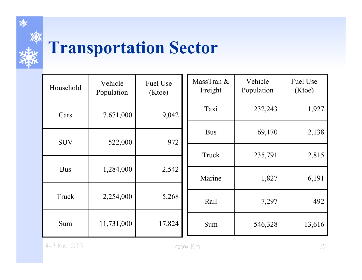

#### **Transportation Sector**

| Household  | Vehicle<br>Population | Fuel Use<br>(Ktoe) |       | MassTran &<br>Freight | Vehicle<br>Population | Fuel Use<br>(Ktoe) |
|------------|-----------------------|--------------------|-------|-----------------------|-----------------------|--------------------|
| Cars       | 7,671,000             | 9,042              |       | Taxi                  | 232,243               | 1,927              |
| <b>SUV</b> | 522,000               | 972                |       | <b>Bus</b>            | 69,170                | 2,138              |
|            |                       |                    | Truck | 235,791               | 2,815                 |                    |
| <b>Bus</b> | 1,284,000             | 2,542              |       | Marine                | 1,827                 | 6,191              |
| Truck      | 2,254,000             | 5,268              |       | Rail                  | 7,297                 | 492                |
| Sum        | 11,731,000            | 17,824             |       | Sum                   | 546,328               | 13,616             |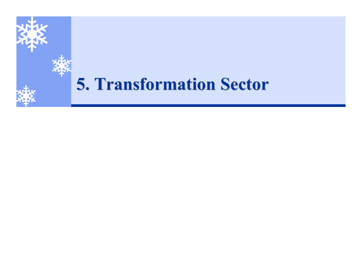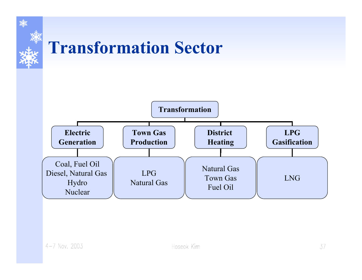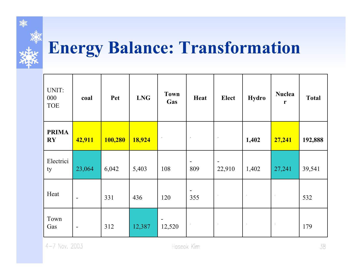

## **Energy Balance: Transformation**

| UNIT:<br>000<br><b>TOE</b> | coal           | Pet     | <b>LNG</b> | <b>Town</b><br>Gas       | Heat                  | <b>Elect</b>                           | <b>Hydro</b> | <b>Nuclea</b><br>r | <b>Total</b> |
|----------------------------|----------------|---------|------------|--------------------------|-----------------------|----------------------------------------|--------------|--------------------|--------------|
| <b>PRIMA</b><br>RY         | 42,911         | 100,280 | 18,924     | $\bullet$                | $\bullet$             | $\bullet$                              | 1,402        | 27,241             | 192,888      |
| Electrici<br>ty            | 23,064         | 6,042   | 5,403      | 108                      | $\blacksquare$<br>809 | $\qquad \qquad \blacksquare$<br>22,910 | 1,402        | 27,241             | 39,541       |
| Heat                       | $\blacksquare$ | 331     | 436        | 120                      | $\blacksquare$<br>355 | $\bullet$                              | $\bullet$    | $\bullet$          | 532          |
| Town<br>Gas                | $\sim$         | 312     | 12,387     | $\blacksquare$<br>12,520 | $\rightarrow$         | $\bullet$                              | $\bullet$    | $\bullet$          | 179          |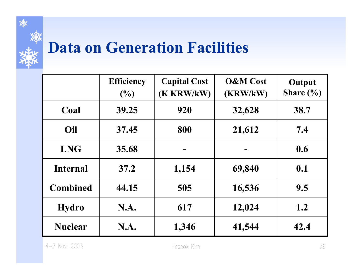

#### **Data on Generation Facilities**

|                 | <b>Efficiency</b><br>(9/0) | <b>Capital Cost</b><br>(K KRW/kW) | <b>O&amp;M</b> Cost<br>(KRW/kW) | Output<br>Share $(\% )$ |
|-----------------|----------------------------|-----------------------------------|---------------------------------|-------------------------|
| Coal            | 39.25                      | 920                               | 32,628                          | 38.7                    |
| Oil             | 37.45                      | 800                               | 21,612                          | 7.4                     |
| <b>LNG</b>      | 35.68                      |                                   |                                 | 0.6                     |
| <b>Internal</b> | 37.2                       | 1,154                             | 69,840                          | 0.1                     |
| <b>Combined</b> | 44.15                      | 505                               | 16,536                          | 9.5                     |
| <b>Hydro</b>    | N.A.                       | 617                               | 12,024                          | 1.2                     |
| <b>Nuclear</b>  | <b>N.A.</b>                | 1,346                             | 41,544                          | 42.4                    |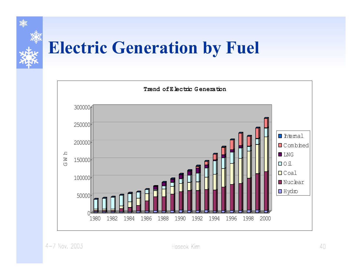

## **Electric Generation by Fuel**

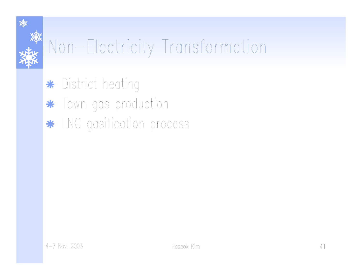# Non-Electricity Transformation

\* District heating

\* Town gas production

\* LNG gasification process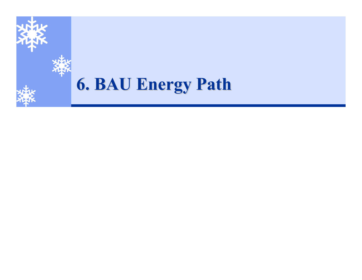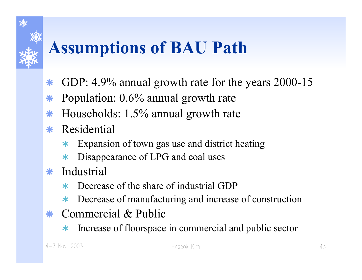## **Assumptions of BAU Path**

- $\ast$ GDP: 4.9% annual growth rate for the years 2000-15
- $\ast$ Population: 0.6% annual growth rate
- $\ast$ Households: 1.5% annual growth rate
- \* Residential
	- $\ast$ Expansion of town gas use and district heating
	- $\ast$ Disappearance of LPG and coal uses
- $\ast$  Industrial
	- $\star$ Decrease of the share of industrial GDP
	- $\ast$ Decrease of manufacturing and increas e of construction
- Å Commercial & Public
	- $\ast$ Increase of floorspace in commercial and public sector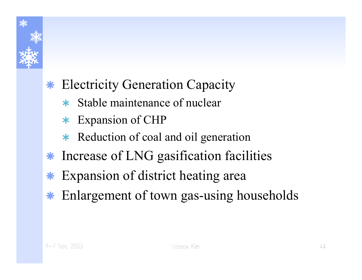

#### Å Electricity Generation Capacity

- $\star$  Stable maintenance of nuclear
- \* Expansion of CHP
- \* Reduction of coal and oil generation
- Å Increase of LNG gasification facilities
- $\ast$ Expansion of district heating area
- $\ast$ Enlargement of town gas-using households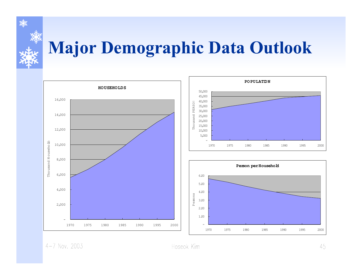

## **Major Demographic Data Outlook**



 $4 - 7$  Nov. 2003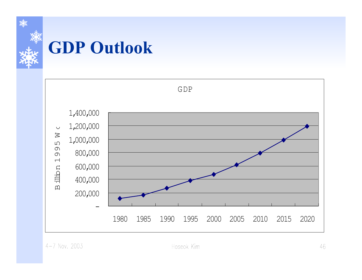

## **GDP Outlook**

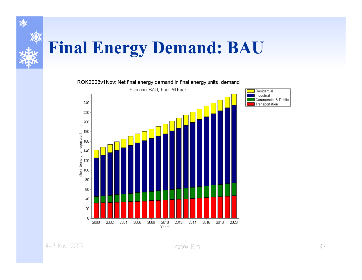

## **Final Energy Demand: BAU**

#### ROK2003v1Nov: Net final energy demand in final energy units: demand

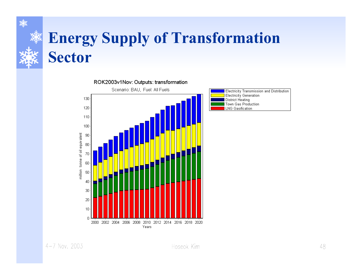#### **Energy Supply of Transformation Sector**





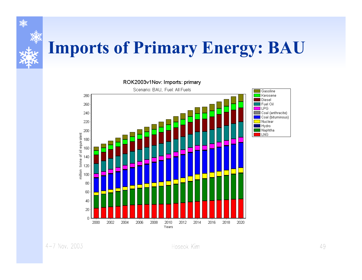

## **Imports of Primary Energy: BAU**

ROK2003v1Nov: Imports: primary Scenario: BAU, Fuel: All Fuels



 $4 - 7$  Nov. 2003

Gasoline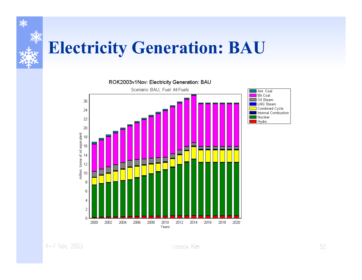

#### **Electricity Generation: BAU**

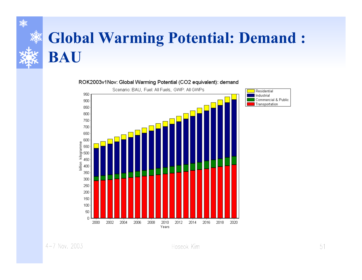#### **Global Warming Potential: Demand:** BAU



ROK2003v1Nov: Global Warming Potential (CO2 equivalent): demand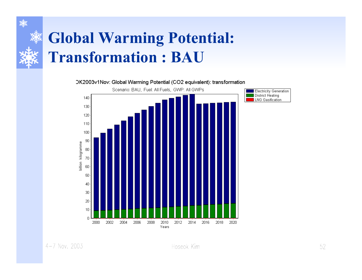#### **Global Warming Potential: Transformation : BAU**

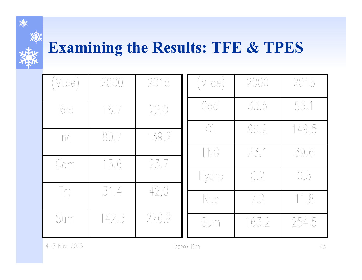

#### **Examining the Results: TFE & TPES**

| (Mtoe) | 2000  | 2015  | (Mtoe)              | 2000  | 2015  |
|--------|-------|-------|---------------------|-------|-------|
| Res    | 16.7  | 22.0  | Coal                | 33.5  | 53.1  |
| Ind    | 80.7  | 139.2 | $\bigcap_{i=1}^{n}$ | 99.2  | 149.5 |
| Com    | 13.6  | 23.7  | LNG                 | 23.1  | 39.6  |
|        |       |       | Hydro               | 0.2   | 0.5   |
| Irp    | 31.4  | 42.0  | Nuc                 | 7.2   | 11.8  |
| Sum    | 142.3 | 226.9 | Sum                 | 163.2 | 254.5 |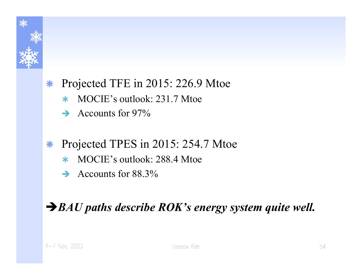

#### $\ast$ Projected TFE in 2015: 226.9 Mtoe

- ¿MOCIE's outlook: 231.7 Mtoe
- $\rightarrow$  Accounts for 97%

#### $\ast$ Projected TPES in 2015: 254.7 Mtoe

- ¿MOCIE's outlook: 288.4 Mtoe
- $\rightarrow$  Accounts for 88.3%

#### Î*BAU paths describe ROK's energy system quite well.*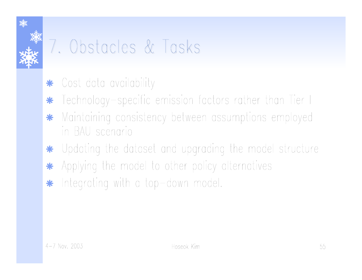

## 7. Obstacles & Tasks

- Cost data availability \*
- Technology–specific emission factors rather than Tier I \*
- Maintaining consistency between assumptions employed \* in BAU scenario
- Updating the dataset and upgrading the model structure \*
- Applying the model to other policy alternatives \*
- Integrating with a top-down model. \*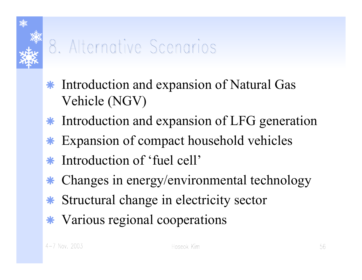

## 8. Alternative Scenarios

- Å Introduction and expansion of Natural Gas Vehicle (NGV)
- Å Introduction and expansion of LFG generation
- $\ast$ Expansion of compact household vehicles
- $\ast$ Introduction of 'fuel cell'
- Å Changes in energy/environmental technology
- Å Structural change in electricity sector
- Å Various regional cooperations